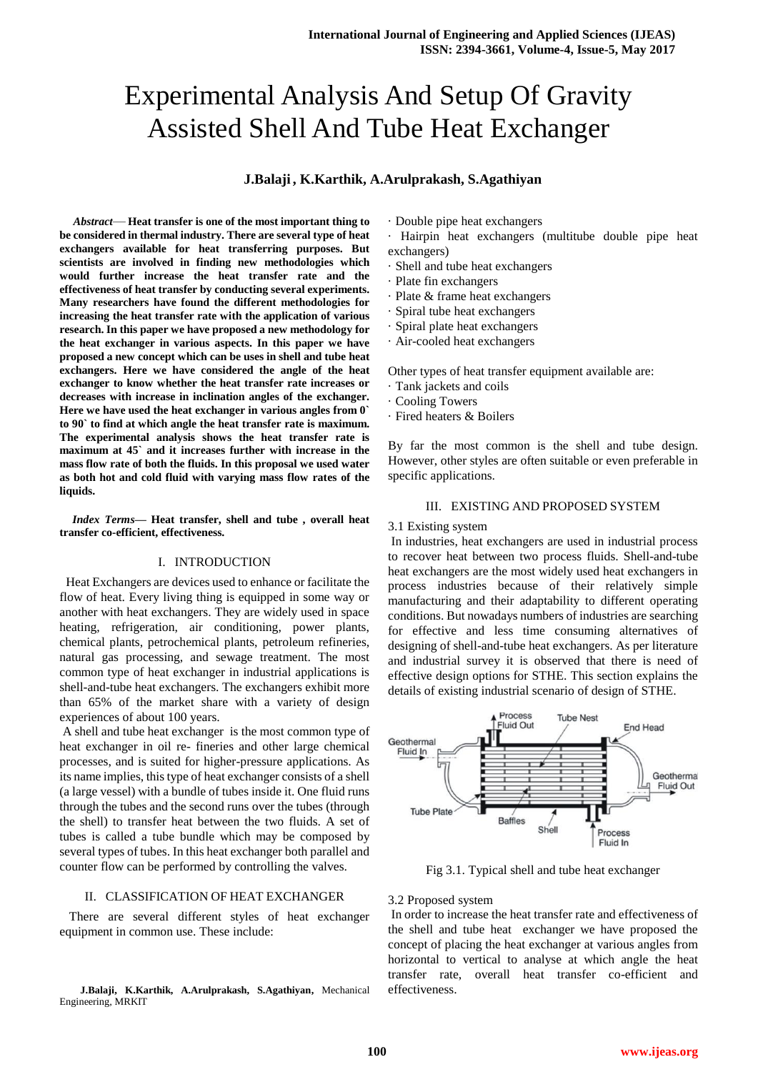# Experimental Analysis And Setup Of Gravity Assisted Shell And Tube Heat Exchanger

# **J.Balaji , K.Karthik, A.Arulprakash, S.Agathiyan**

*Abstract*— **Heat transfer is one of the most important thing to be considered in thermal industry. There are several type of heat exchangers available for heat transferring purposes. But scientists are involved in finding new methodologies which would further increase the heat transfer rate and the effectiveness of heat transfer by conducting several experiments. Many researchers have found the different methodologies for increasing the heat transfer rate with the application of various research. In this paper we have proposed a new methodology for the heat exchanger in various aspects. In this paper we have proposed a new concept which can be uses in shell and tube heat exchangers. Here we have considered the angle of the heat exchanger to know whether the heat transfer rate increases or decreases with increase in inclination angles of the exchanger. Here we have used the heat exchanger in various angles from 0` to 90` to find at which angle the heat transfer rate is maximum. The experimental analysis shows the heat transfer rate is maximum at 45` and it increases further with increase in the mass flow rate of both the fluids. In this proposal we used water as both hot and cold fluid with varying mass flow rates of the liquids.**

*Index Terms***— Heat transfer, shell and tube , overall heat transfer co-efficient, effectiveness.**

#### I. INTRODUCTION

 Heat Exchangers are devices used to enhance or facilitate the flow of heat. Every living thing is equipped in some way or another with heat exchangers. They are widely used in space heating, refrigeration, air conditioning, power plants, chemical plants, petrochemical plants, petroleum refineries, natural gas processing, and sewage treatment. The most common type of heat exchanger in industrial applications is shell-and-tube heat exchangers. The exchangers exhibit more than 65% of the market share with a variety of design experiences of about 100 years.

A shell and tube heat exchanger is the most common type of heat exchanger in oil re- fineries and other large chemical processes, and is suited for higher-pressure applications. As its name implies, this type of heat exchanger consists of a shell (a large vessel) with a bundle of tubes inside it. One fluid runs through the tubes and the second runs over the tubes (through the shell) to transfer heat between the two fluids. A set of tubes is called a tube bundle which may be composed by several types of tubes. In this heat exchanger both parallel and counter flow can be performed by controlling the valves.

# II. CLASSIFICATION OF HEAT EXCHANGER

 There are several different styles of heat exchanger equipment in common use. These include:

 **J.Balaji, K.Karthik, A.Arulprakash, S.Agathiyan,** Mechanical Engineering, MRKIT

· Double pipe heat exchangers

· Hairpin heat exchangers (multitube double pipe heat exchangers)

- · Shell and tube heat exchangers
- · Plate fin exchangers
- · Plate & frame heat exchangers
- · Spiral tube heat exchangers
- · Spiral plate heat exchangers
- · Air-cooled heat exchangers

Other types of heat transfer equipment available are:

- · Tank jackets and coils
- · Cooling Towers
- · Fired heaters & Boilers

By far the most common is the shell and tube design. However, other styles are often suitable or even preferable in specific applications.

# III. EXISTING AND PROPOSED SYSTEM

#### 3.1 Existing system

In industries, heat exchangers are used in industrial process to recover heat between two process fluids. Shell-and-tube heat exchangers are the most widely used heat exchangers in process industries because of their relatively simple manufacturing and their adaptability to different operating conditions. But nowadays numbers of industries are searching for effective and less time consuming alternatives of designing of shell-and-tube heat exchangers. As per literature and industrial survey it is observed that there is need of effective design options for STHE. This section explains the details of existing industrial scenario of design of STHE.



Fig 3.1. Typical shell and tube heat exchanger

## 3.2 Proposed system

In order to increase the heat transfer rate and effectiveness of the shell and tube heat exchanger we have proposed the concept of placing the heat exchanger at various angles from horizontal to vertical to analyse at which angle the heat transfer rate, overall heat transfer co-efficient and effectiveness.